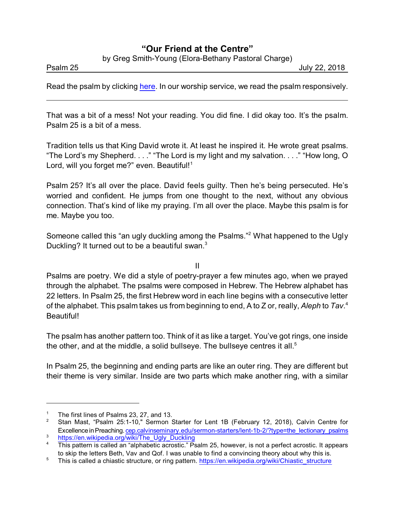## **"Our Friend at the Centre"**

by Greg Smith-Young (Elora-Bethany Pastoral Charge)

Psalm 25 July 22, 2018

Read the psalm by clicking [here](https://www.biblegateway.com/passage/?search=Psalm+12&version=CEB). In our worship service, we read the psalm responsively.

That was a bit of a mess! Not your reading. You did fine. I did okay too. It's the psalm. Psalm 25 is a bit of a mess.

Tradition tells us that King David wrote it. At least he inspired it. He wrote great psalms. "The Lord's my Shepherd. . . ." "The Lord is my light and my salvation. . . ." "How long, O Lord, will you forget me?" even. Beautiful!<sup>1</sup>

Psalm 25? It's all over the place. David feels guilty. Then he's being persecuted. He's worried and confident. He jumps from one thought to the next, without any obvious connection. That's kind of like my praying. I'm all over the place. Maybe this psalm is for me. Maybe you too.

Someone called this "an ugly duckling among the Psalms."<sup>2</sup> What happened to the Ugly Duckling? It turned out to be a beautiful swan. $3$ 

II

Psalms are poetry. We did a style of poetry-prayer a few minutes ago, when we prayed through the alphabet. The psalms were composed in Hebrew. The Hebrew alphabet has 22 letters. In Psalm 25, the first Hebrew word in each line begins with a consecutive letter of the alphabet. This psalm takes us from beginning to end, A to Z or, really, *Aleph* to *Tav*. 4 Beautiful!

The psalm has another pattern too. Think of it as like a target. You've got rings, one inside the other, and at the middle, a solid bullseye. The bullseye centres it all. $^{\rm 5}$ 

In Psalm 25, the beginning and ending parts are like an outer ring. They are different but their theme is very similar. Inside are two parts which make another ring, with a similar

<sup>&</sup>lt;sup>1</sup> The first lines of Psalms 23, 27, and 13.

<sup>2</sup> Stan Mast, "Psalm 25:1-10," Sermon Starter for Lent 1B (February 12, 2018), Calvin Centre for Excellence in Preaching. [cep.calvinseminary.edu/sermon-starters/lent-1b-2/?type=the\\_lectionary\\_psalms](http://cep.calvinseminary.edu/sermon-starters/lent-1b-2/?type=the_lectionary_psalms)

 $\frac{3}{1}$  [https://en.wikipedia.org/wiki/The\\_Ugly\\_Duckling](https://en.wikipedia.org/wiki/The_Ugly_Duckling)<br> $\frac{4}{1}$  This nottom is colled an "elphabetic correction".

<sup>4</sup> This pattern is called an "alphabetic acrostic." Psalm 25, however, is not a perfect acrostic. It appears to skip the letters Beth, Vav and Qof. I was unable to find a convincing theory about why this is.

<sup>&</sup>lt;sup>5</sup> This is called a chiastic structure, or ring pattern. [https://en.wikipedia.org/wiki/Chiastic\\_structure](https://en.wikipedia.org/wiki/Chiastic_structure)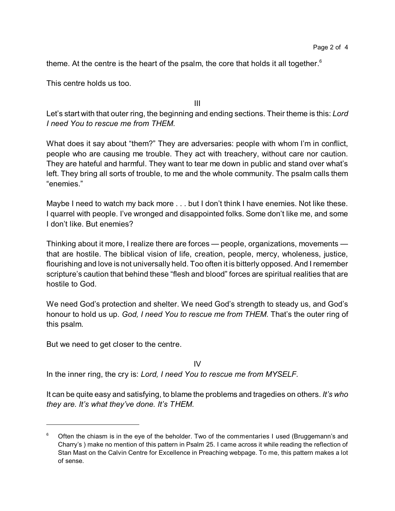theme. At the centre is the heart of the psalm, the core that holds it all together. $^6$ 

This centre holds us too.

III

Let's start with that outer ring, the beginning and ending sections. Their theme is this: *Lord I need You to rescue me from THEM.*

What does it say about "them?" They are adversaries: people with whom I'm in conflict, people who are causing me trouble. They act with treachery, without care nor caution. They are hateful and harmful. They want to tear me down in public and stand over what's left. They bring all sorts of trouble, to me and the whole community. The psalm calls them "enemies."

Maybe I need to watch my back more . . . but I don't think I have enemies. Not like these. I quarrel with people. I've wronged and disappointed folks. Some don't like me, and some I don't like. But enemies?

Thinking about it more, I realize there are forces — people, organizations, movements that are hostile. The biblical vision of life, creation, people, mercy, wholeness, justice, flourishing and love is not universally held. Too often it is bitterly opposed. And I remember scripture's caution that behind these "flesh and blood" forces are spiritual realities that are hostile to God.

We need God's protection and shelter. We need God's strength to steady us, and God's honour to hold us up. *God, I need You to rescue me from THEM.* That's the outer ring of this psalm.

But we need to get closer to the centre.

IV

In the inner ring, the cry is: *Lord, I need You to rescue me from MYSELF.*

It can be quite easy and satisfying, to blame the problems and tragedies on others. *It's who they are. It's what they've done. It's THEM.*

<sup>6</sup> Often the chiasm is in the eye of the beholder. Two of the commentaries I used (Bruggemann's and Charry's ) make no mention of this pattern in Psalm 25. I came across it while reading the reflection of Stan Mast on the Calvin Centre for Excellence in Preaching webpage. To me, this pattern makes a lot of sense.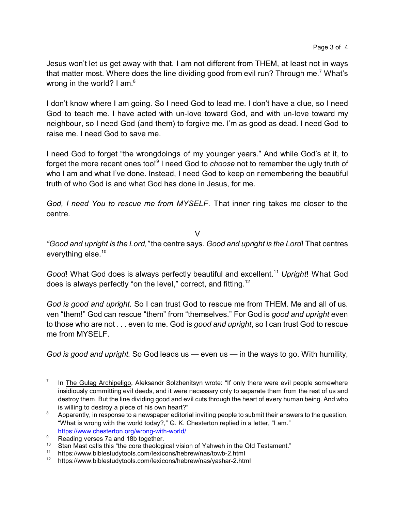Jesus won't let us get away with that. I am not different from THEM, at least not in ways that matter most. Where does the line dividing good from evil run? Through me.<sup>7</sup> What's wrong in the world? I am. $^{\rm 8}$ 

I don't know where I am going. So I need God to lead me. I don't have a clue, so I need God to teach me. I have acted with un-love toward God, and with un-love toward my neighbour, so I need God (and them) to forgive me. I'm as good as dead. I need God to raise me. I need God to save me.

I need God to forget "the wrongdoings of my younger years." And while God's at it, to forget the more recent ones too!<sup>9</sup> I need God to *choose* not to remember the ugly truth of who I am and what I've done. Instead, I need God to keep on remembering the beautiful truth of who God is and what God has done in Jesus, for me.

*God, I need You to rescue me from MYSELF.* That inner ring takes me closer to the centre.

V

*"Good and upright is the Lord,"* the centre says. *Good and upright is the Lord*! That centres everything else.<sup>10</sup>

*Good*! What God does is always perfectly beautiful and excellent.<sup>11</sup> Upright! What God does is always perfectly "on the level," correct, and fitting.<sup>12</sup>

*God is good and upright.* So I can trust God to rescue me from THEM. Me and all of us. ven "them!" God can rescue "them" from "themselves." For God is *good and upright* even to those who are not . . . even to me. God is *good and upright*, so I can trust God to rescue me from MYSELF.

*God is good and upright.* So God leads us — even us — in the ways to go. With humility,

<sup>7</sup> In The Gulag Archipeligo, Aleksandr Solzhenitsyn wrote: "If only there were evil people somewhere insidiously committing evil deeds, and it were necessary only to separate them from the rest of us and destroy them. But the line dividing good and evil cuts through the heart of every human being. And who is willing to destroy a piece of his own heart?"

<sup>&</sup>lt;sup>8</sup> Apparently, in response to a newspaper editorial inviting people to submit their answers to the question, "What is wrong with the world today?," G. K. Chesterton replied in a letter, "I am." <https://www.chesterton.org/wrong-with-world/>

<sup>&</sup>lt;sup>9</sup> Reading verses 7a and 18b together.

<sup>&</sup>lt;sup>10</sup> Stan Mast calls this "the core theological vision of Yahweh in the Old Testament."<br><sup>11</sup> https://www.biblogtuduteels.com/loviespe/bebrow/poe/touth 2.html

<sup>11</sup> https://www.biblestudytools.com/lexicons/hebrew/nas/towb-2.html

<sup>12</sup> https://www.biblestudytools.com/lexicons/hebrew/nas/yashar-2.html